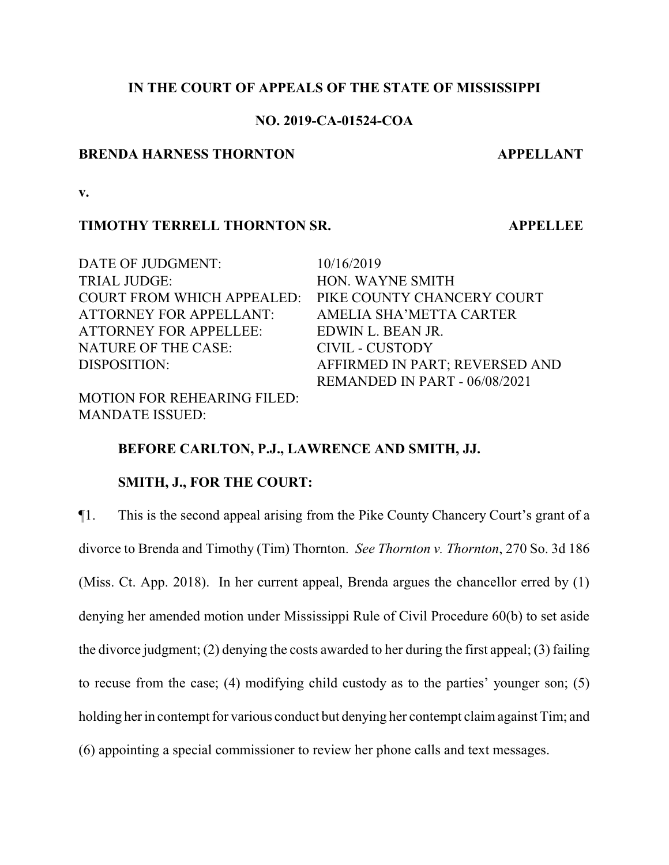## **IN THE COURT OF APPEALS OF THE STATE OF MISSISSIPPI**

## **NO. 2019-CA-01524-COA**

#### **BRENDA HARNESS THORNTON APPELLANT**

**v.**

#### **TIMOTHY TERRELL THORNTON SR. APPELLEE**

DATE OF JUDGMENT:  $10/16/2019$ TRIAL JUDGE: HON. WAYNE SMITH COURT FROM WHICH APPEALED: PIKE COUNTY CHANCERY COURT ATTORNEY FOR APPELLANT: AMELIA SHA'METTA CARTER ATTORNEY FOR APPELLEE: EDWIN L. BEAN JR. NATURE OF THE CASE: CIVIL - CUSTODY

MOTION FOR REHEARING FILED: MANDATE ISSUED:

DISPOSITION: AFFIRMED IN PART; REVERSED AND REMANDED IN PART - 06/08/2021

## **BEFORE CARLTON, P.J., LAWRENCE AND SMITH, JJ.**

## **SMITH, J., FOR THE COURT:**

¶1. This is the second appeal arising from the Pike County Chancery Court's grant of a divorce to Brenda and Timothy (Tim) Thornton. *See Thornton v. Thornton*, 270 So. 3d 186 (Miss. Ct. App. 2018). In her current appeal, Brenda argues the chancellor erred by (1) denying her amended motion under Mississippi Rule of Civil Procedure 60(b) to set aside the divorce judgment; (2) denying the costs awarded to her during the first appeal; (3) failing to recuse from the case; (4) modifying child custody as to the parties' younger son; (5) holding her in contempt for various conduct but denying her contempt claim against Tim; and (6) appointing a special commissioner to review her phone calls and text messages.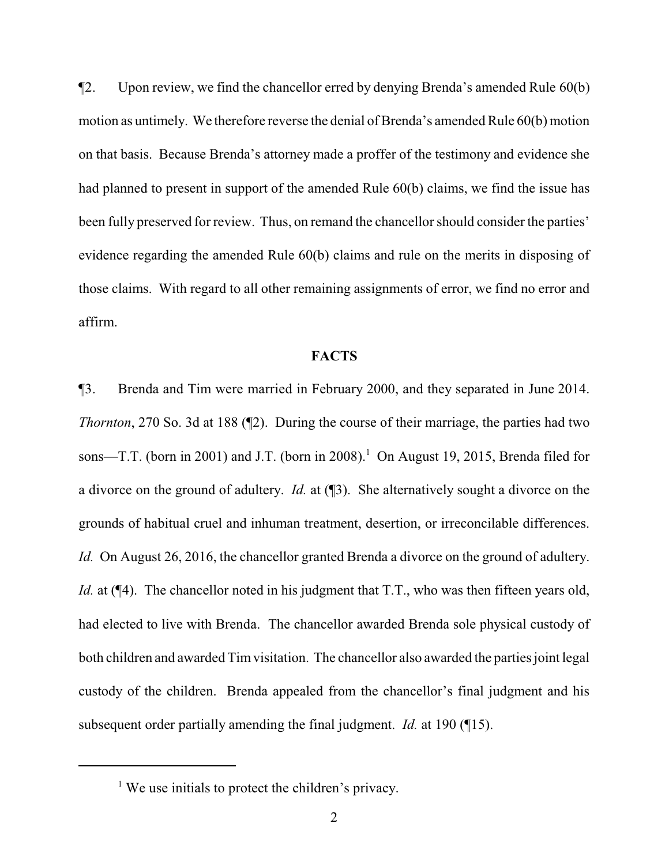¶2. Upon review, we find the chancellor erred by denying Brenda's amended Rule 60(b) motion as untimely. We therefore reverse the denial of Brenda's amended Rule 60(b) motion on that basis. Because Brenda's attorney made a proffer of the testimony and evidence she had planned to present in support of the amended Rule 60(b) claims, we find the issue has been fully preserved for review. Thus, on remand the chancellor should consider the parties' evidence regarding the amended Rule 60(b) claims and rule on the merits in disposing of those claims. With regard to all other remaining assignments of error, we find no error and affirm.

## **FACTS**

¶3. Brenda and Tim were married in February 2000, and they separated in June 2014. *Thornton*, 270 So. 3d at 188 (¶2). During the course of their marriage, the parties had two sons—T.T. (born in 2001) and J.T. (born in 2008).<sup>1</sup> On August 19, 2015, Brenda filed for a divorce on the ground of adultery. *Id.* at (¶3). She alternatively sought a divorce on the grounds of habitual cruel and inhuman treatment, desertion, or irreconcilable differences. *Id.* On August 26, 2016, the chancellor granted Brenda a divorce on the ground of adultery. *Id.* at ( $\P$ 4). The chancellor noted in his judgment that T.T., who was then fifteen years old, had elected to live with Brenda. The chancellor awarded Brenda sole physical custody of both children and awarded Timvisitation. The chancellor also awarded the parties joint legal custody of the children. Brenda appealed from the chancellor's final judgment and his subsequent order partially amending the final judgment. *Id.* at 190 (¶15).

<sup>&</sup>lt;sup>1</sup> We use initials to protect the children's privacy.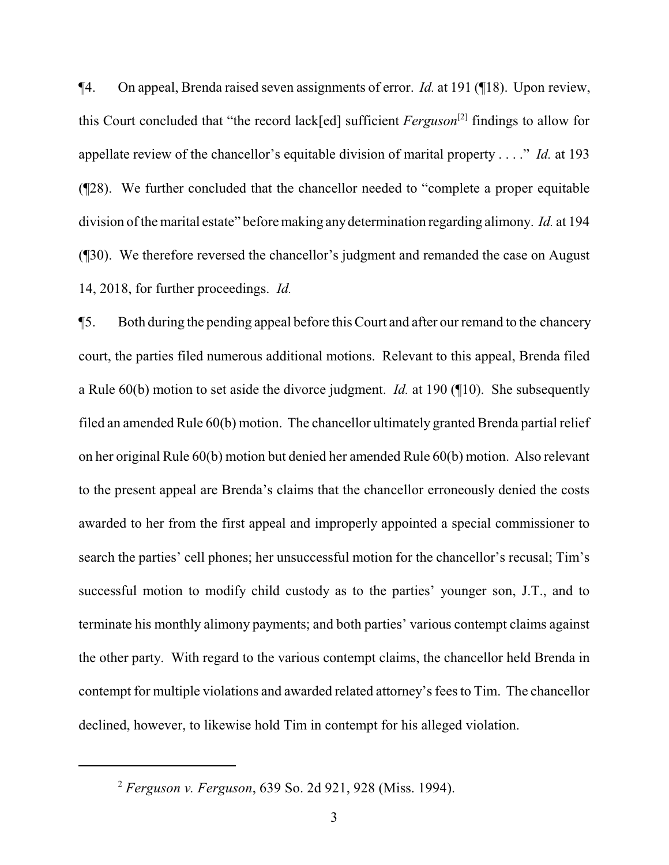¶4. On appeal, Brenda raised seven assignments of error. *Id.* at 191 (¶18). Upon review, this Court concluded that "the record lack[ed] sufficient *Ferguson*[2] findings to allow for appellate review of the chancellor's equitable division of marital property . . . ." *Id.* at 193 (¶28). We further concluded that the chancellor needed to "complete a proper equitable division of the marital estate" before making anydetermination regarding alimony. *Id.* at 194 (¶30). We therefore reversed the chancellor's judgment and remanded the case on August 14, 2018, for further proceedings. *Id.*

¶5. Both during the pending appeal before this Court and after our remand to the chancery court, the parties filed numerous additional motions. Relevant to this appeal, Brenda filed a Rule 60(b) motion to set aside the divorce judgment. *Id.* at 190 (¶10). She subsequently filed an amended Rule 60(b) motion. The chancellor ultimately granted Brenda partial relief on her original Rule 60(b) motion but denied her amended Rule 60(b) motion. Also relevant to the present appeal are Brenda's claims that the chancellor erroneously denied the costs awarded to her from the first appeal and improperly appointed a special commissioner to search the parties' cell phones; her unsuccessful motion for the chancellor's recusal; Tim's successful motion to modify child custody as to the parties' younger son, J.T., and to terminate his monthly alimony payments; and both parties' various contempt claims against the other party. With regard to the various contempt claims, the chancellor held Brenda in contempt for multiple violations and awarded related attorney's fees to Tim. The chancellor declined, however, to likewise hold Tim in contempt for his alleged violation.

<sup>2</sup> *Ferguson v. Ferguson*, 639 So. 2d 921, 928 (Miss. 1994).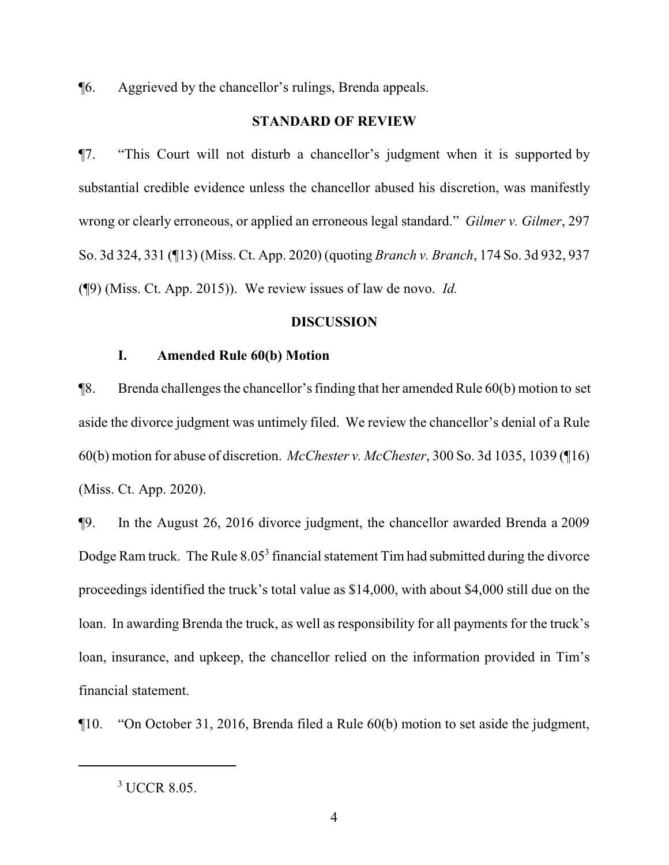¶6. Aggrieved by the chancellor's rulings, Brenda appeals.

## **STANDARD OF REVIEW**

¶7. "This Court will not disturb a chancellor's judgment when it is supported by substantial credible evidence unless the chancellor abused his discretion, was manifestly wrong or clearly erroneous, or applied an erroneous legal standard." *Gilmer v. Gilmer*, 297 So. 3d 324, 331 (¶13) (Miss. Ct. App. 2020) (quoting *Branch v. Branch*, 174 So. 3d 932, 937 (¶9) (Miss. Ct. App. 2015)). We review issues of law de novo. *Id.*

## **DISCUSSION**

## **I. Amended Rule 60(b) Motion**

¶8. Brenda challenges the chancellor's finding that her amended Rule 60(b) motion to set aside the divorce judgment was untimely filed. We review the chancellor's denial of a Rule 60(b) motion for abuse of discretion. *McChester v. McChester*, 300 So. 3d 1035, 1039 (¶16) (Miss. Ct. App. 2020).

¶9. In the August 26, 2016 divorce judgment, the chancellor awarded Brenda a 2009 Dodge Ram truck. The Rule  $8.05<sup>3</sup>$  financial statement Tim had submitted during the divorce proceedings identified the truck's total value as \$14,000, with about \$4,000 still due on the loan. In awarding Brenda the truck, as well as responsibility for all payments for the truck's loan, insurance, and upkeep, the chancellor relied on the information provided in Tim's financial statement.

¶10. "On October 31, 2016, Brenda filed a Rule 60(b) motion to set aside the judgment,

<sup>3</sup> UCCR 8.05.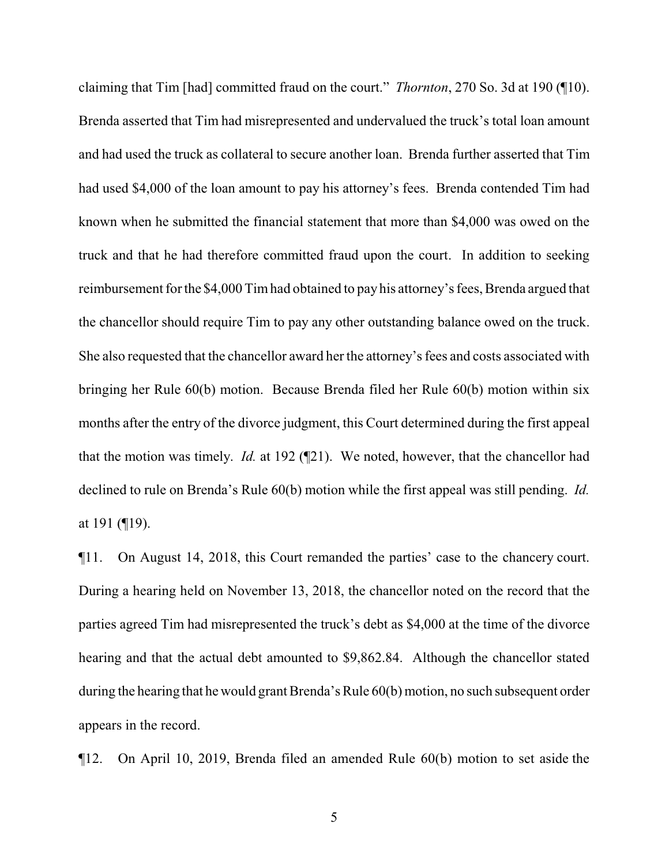claiming that Tim [had] committed fraud on the court." *Thornton*, 270 So. 3d at 190 (¶10). Brenda asserted that Tim had misrepresented and undervalued the truck's total loan amount and had used the truck as collateral to secure another loan. Brenda further asserted that Tim had used \$4,000 of the loan amount to pay his attorney's fees. Brenda contended Tim had known when he submitted the financial statement that more than \$4,000 was owed on the truck and that he had therefore committed fraud upon the court. In addition to seeking reimbursement for the \$4,000 Timhad obtained to pay his attorney's fees, Brenda argued that the chancellor should require Tim to pay any other outstanding balance owed on the truck. She also requested that the chancellor award her the attorney's fees and costs associated with bringing her Rule 60(b) motion. Because Brenda filed her Rule 60(b) motion within six months after the entry of the divorce judgment, this Court determined during the first appeal that the motion was timely. *Id.* at 192 (¶21). We noted, however, that the chancellor had declined to rule on Brenda's Rule 60(b) motion while the first appeal was still pending. *Id.* at 191 (¶19).

¶11. On August 14, 2018, this Court remanded the parties' case to the chancery court. During a hearing held on November 13, 2018, the chancellor noted on the record that the parties agreed Tim had misrepresented the truck's debt as \$4,000 at the time of the divorce hearing and that the actual debt amounted to \$9,862.84. Although the chancellor stated during the hearing that he would grant Brenda's Rule 60(b) motion, no such subsequent order appears in the record.

¶12. On April 10, 2019, Brenda filed an amended Rule 60(b) motion to set aside the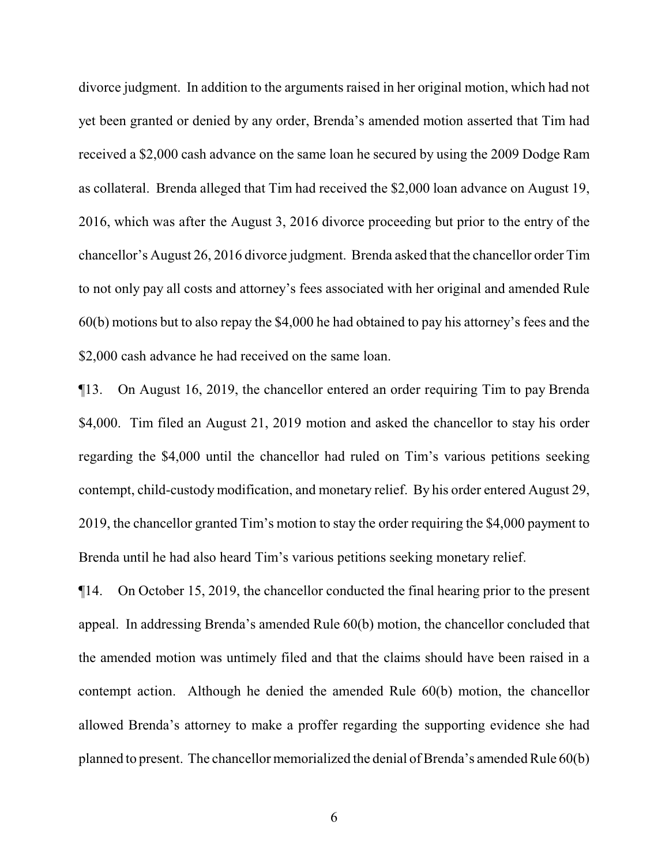divorce judgment. In addition to the arguments raised in her original motion, which had not yet been granted or denied by any order, Brenda's amended motion asserted that Tim had received a \$2,000 cash advance on the same loan he secured by using the 2009 Dodge Ram as collateral. Brenda alleged that Tim had received the \$2,000 loan advance on August 19, 2016, which was after the August 3, 2016 divorce proceeding but prior to the entry of the chancellor's August 26, 2016 divorce judgment. Brenda asked that the chancellor order Tim to not only pay all costs and attorney's fees associated with her original and amended Rule 60(b) motions but to also repay the \$4,000 he had obtained to pay his attorney's fees and the \$2,000 cash advance he had received on the same loan.

¶13. On August 16, 2019, the chancellor entered an order requiring Tim to pay Brenda \$4,000. Tim filed an August 21, 2019 motion and asked the chancellor to stay his order regarding the \$4,000 until the chancellor had ruled on Tim's various petitions seeking contempt, child-custody modification, and monetary relief. By his order entered August 29, 2019, the chancellor granted Tim's motion to stay the order requiring the \$4,000 payment to Brenda until he had also heard Tim's various petitions seeking monetary relief.

¶14. On October 15, 2019, the chancellor conducted the final hearing prior to the present appeal. In addressing Brenda's amended Rule 60(b) motion, the chancellor concluded that the amended motion was untimely filed and that the claims should have been raised in a contempt action. Although he denied the amended Rule 60(b) motion, the chancellor allowed Brenda's attorney to make a proffer regarding the supporting evidence she had planned to present. The chancellor memorialized the denial of Brenda's amended Rule 60(b)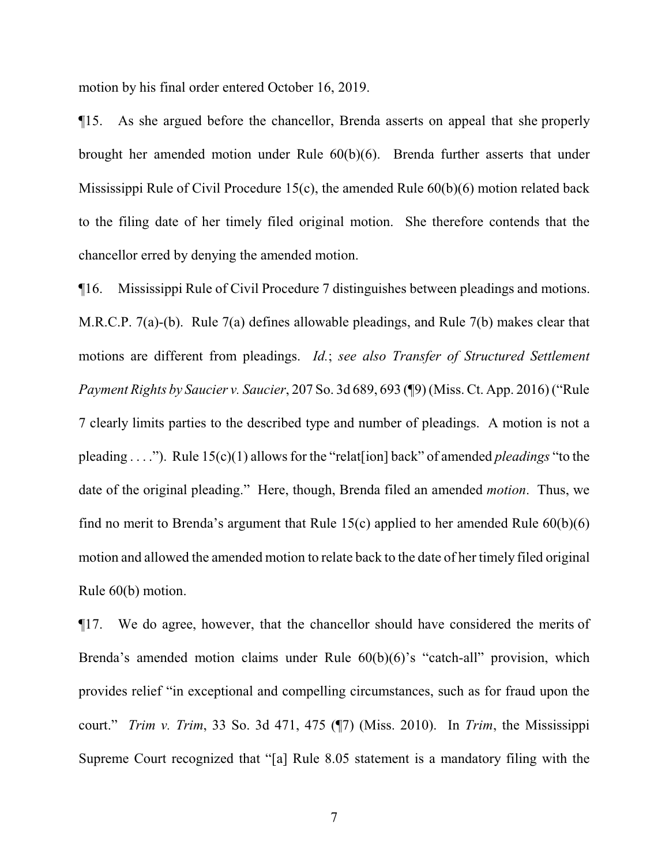motion by his final order entered October 16, 2019.

¶15. As she argued before the chancellor, Brenda asserts on appeal that she properly brought her amended motion under Rule 60(b)(6). Brenda further asserts that under Mississippi Rule of Civil Procedure 15(c), the amended Rule 60(b)(6) motion related back to the filing date of her timely filed original motion. She therefore contends that the chancellor erred by denying the amended motion.

¶16. Mississippi Rule of Civil Procedure 7 distinguishes between pleadings and motions. M.R.C.P. 7(a)-(b). Rule 7(a) defines allowable pleadings, and Rule 7(b) makes clear that motions are different from pleadings. *Id.*; *see also Transfer of Structured Settlement Payment Rights by Saucier v. Saucier*, 207 So. 3d 689, 693 (¶9) (Miss. Ct. App. 2016) ("Rule 7 clearly limits parties to the described type and number of pleadings. A motion is not a pleading . . . ."). Rule 15(c)(1) allows for the "relat[ion] back" of amended *pleadings* "to the date of the original pleading." Here, though, Brenda filed an amended *motion*. Thus, we find no merit to Brenda's argument that Rule 15(c) applied to her amended Rule  $60(b)(6)$ motion and allowed the amended motion to relate back to the date of her timely filed original Rule 60(b) motion.

¶17. We do agree, however, that the chancellor should have considered the merits of Brenda's amended motion claims under Rule  $60(b)(6)$ 's "catch-all" provision, which provides relief "in exceptional and compelling circumstances, such as for fraud upon the court." *Trim v. Trim*, 33 So. 3d 471, 475 (¶7) (Miss. 2010). In *Trim*, the Mississippi Supreme Court recognized that "[a] Rule 8.05 statement is a mandatory filing with the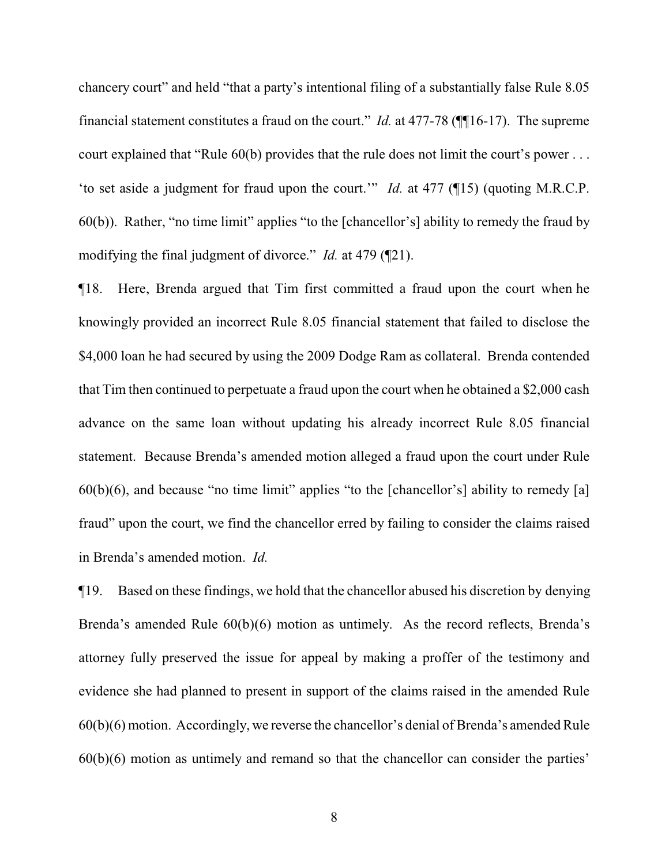chancery court" and held "that a party's intentional filing of a substantially false Rule 8.05 financial statement constitutes a fraud on the court." *Id.* at 477-78 (¶¶16-17). The supreme court explained that "Rule 60(b) provides that the rule does not limit the court's power . . . 'to set aside a judgment for fraud upon the court.'" *Id.* at 477 (¶15) (quoting M.R.C.P. 60(b)). Rather, "no time limit" applies "to the [chancellor's] ability to remedy the fraud by modifying the final judgment of divorce." *Id.* at 479 (¶21).

¶18. Here, Brenda argued that Tim first committed a fraud upon the court when he knowingly provided an incorrect Rule 8.05 financial statement that failed to disclose the \$4,000 loan he had secured by using the 2009 Dodge Ram as collateral. Brenda contended that Tim then continued to perpetuate a fraud upon the court when he obtained a \$2,000 cash advance on the same loan without updating his already incorrect Rule 8.05 financial statement. Because Brenda's amended motion alleged a fraud upon the court under Rule  $60(b)(6)$ , and because "no time limit" applies "to the [chancellor's] ability to remedy [a] fraud" upon the court, we find the chancellor erred by failing to consider the claims raised in Brenda's amended motion. *Id.*

¶19. Based on these findings, we hold that the chancellor abused his discretion by denying Brenda's amended Rule 60(b)(6) motion as untimely. As the record reflects, Brenda's attorney fully preserved the issue for appeal by making a proffer of the testimony and evidence she had planned to present in support of the claims raised in the amended Rule 60(b)(6) motion. Accordingly, we reverse the chancellor's denial of Brenda's amended Rule 60(b)(6) motion as untimely and remand so that the chancellor can consider the parties'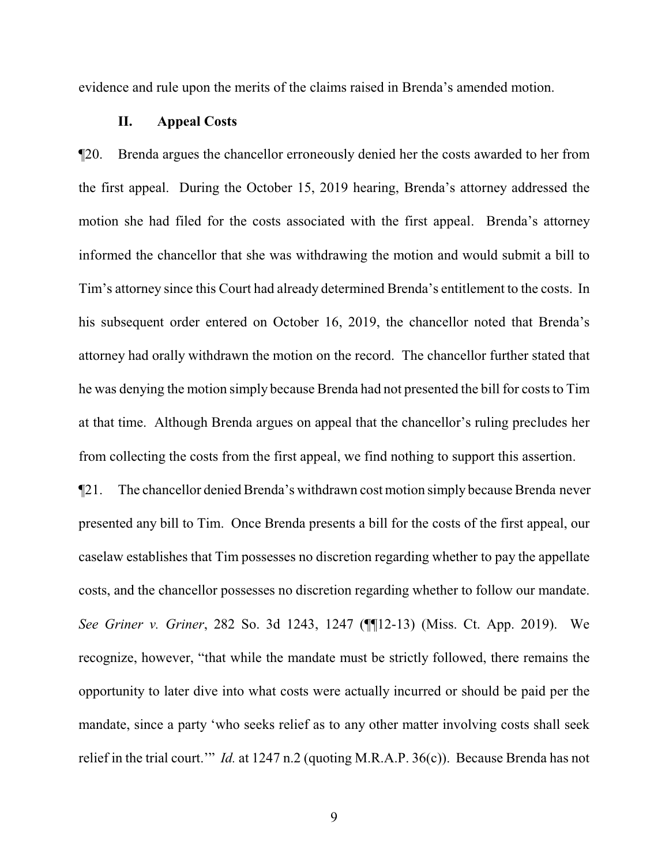evidence and rule upon the merits of the claims raised in Brenda's amended motion.

#### **II. Appeal Costs**

¶20. Brenda argues the chancellor erroneously denied her the costs awarded to her from the first appeal. During the October 15, 2019 hearing, Brenda's attorney addressed the motion she had filed for the costs associated with the first appeal. Brenda's attorney informed the chancellor that she was withdrawing the motion and would submit a bill to Tim's attorney since this Court had already determined Brenda's entitlement to the costs. In his subsequent order entered on October 16, 2019, the chancellor noted that Brenda's attorney had orally withdrawn the motion on the record. The chancellor further stated that he was denying the motion simply because Brenda had not presented the bill for costs to Tim at that time. Although Brenda argues on appeal that the chancellor's ruling precludes her from collecting the costs from the first appeal, we find nothing to support this assertion.

¶21. The chancellor denied Brenda's withdrawn cost motion simply because Brenda never presented any bill to Tim. Once Brenda presents a bill for the costs of the first appeal, our caselaw establishes that Tim possesses no discretion regarding whether to pay the appellate costs, and the chancellor possesses no discretion regarding whether to follow our mandate. *See Griner v. Griner*, 282 So. 3d 1243, 1247 (¶¶12-13) (Miss. Ct. App. 2019). We recognize, however, "that while the mandate must be strictly followed, there remains the opportunity to later dive into what costs were actually incurred or should be paid per the mandate, since a party 'who seeks relief as to any other matter involving costs shall seek relief in the trial court.'" *Id.* at 1247 n.2 (quoting M.R.A.P. 36(c)). Because Brenda has not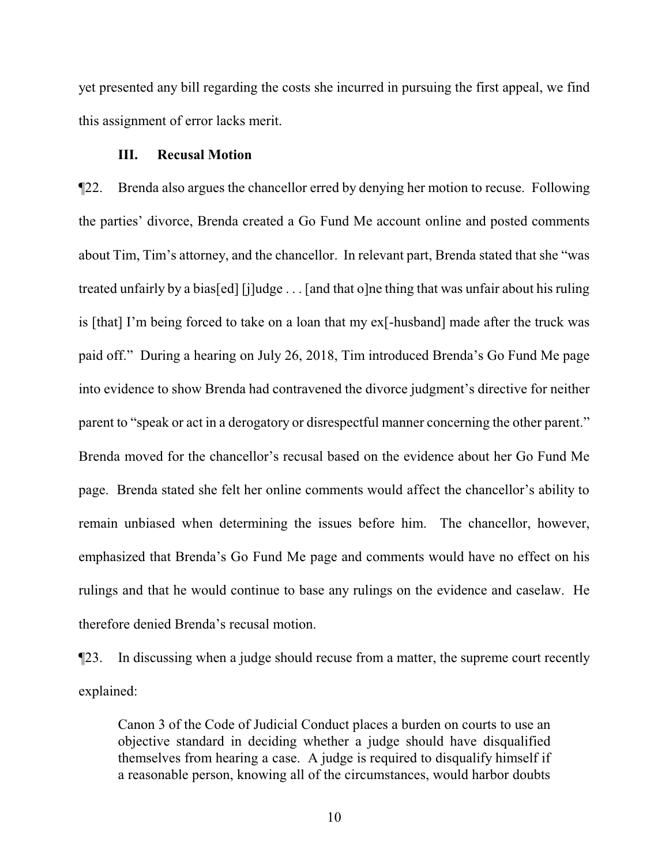yet presented any bill regarding the costs she incurred in pursuing the first appeal, we find this assignment of error lacks merit.

## **III. Recusal Motion**

¶22. Brenda also argues the chancellor erred by denying her motion to recuse. Following the parties' divorce, Brenda created a Go Fund Me account online and posted comments about Tim, Tim's attorney, and the chancellor. In relevant part, Brenda stated that she "was treated unfairly by a bias[ed] [j]udge . . . [and that o]ne thing that was unfair about his ruling is [that] I'm being forced to take on a loan that my ex[-husband] made after the truck was paid off." During a hearing on July 26, 2018, Tim introduced Brenda's Go Fund Me page into evidence to show Brenda had contravened the divorce judgment's directive for neither parent to "speak or act in a derogatory or disrespectful manner concerning the other parent." Brenda moved for the chancellor's recusal based on the evidence about her Go Fund Me page. Brenda stated she felt her online comments would affect the chancellor's ability to remain unbiased when determining the issues before him. The chancellor, however, emphasized that Brenda's Go Fund Me page and comments would have no effect on his rulings and that he would continue to base any rulings on the evidence and caselaw. He therefore denied Brenda's recusal motion.

¶23. In discussing when a judge should recuse from a matter, the supreme court recently explained:

Canon 3 of the Code of Judicial Conduct places a burden on courts to use an objective standard in deciding whether a judge should have disqualified themselves from hearing a case. A judge is required to disqualify himself if a reasonable person, knowing all of the circumstances, would harbor doubts

10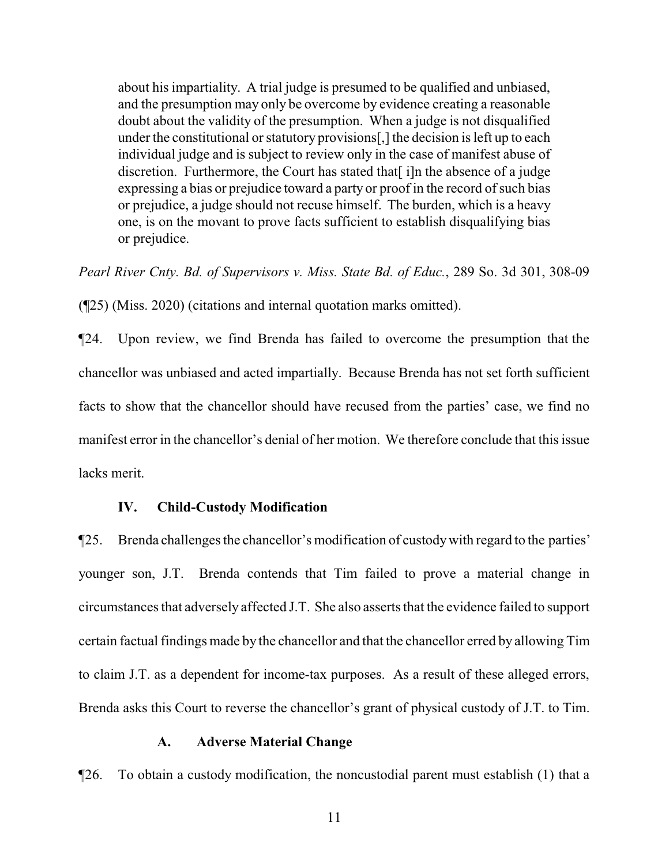about his impartiality. A trial judge is presumed to be qualified and unbiased, and the presumption may only be overcome by evidence creating a reasonable doubt about the validity of the presumption. When a judge is not disqualified under the constitutional or statutory provisions[,] the decision is left up to each individual judge and is subject to review only in the case of manifest abuse of discretion. Furthermore, the Court has stated that [i]n the absence of a judge expressing a bias or prejudice toward a party or proof in the record of such bias or prejudice, a judge should not recuse himself. The burden, which is a heavy one, is on the movant to prove facts sufficient to establish disqualifying bias or prejudice.

*Pearl River Cnty. Bd. of Supervisors v. Miss. State Bd. of Educ.*, 289 So. 3d 301, 308-09

(¶25) (Miss. 2020) (citations and internal quotation marks omitted).

¶24. Upon review, we find Brenda has failed to overcome the presumption that the chancellor was unbiased and acted impartially. Because Brenda has not set forth sufficient facts to show that the chancellor should have recused from the parties' case, we find no manifest error in the chancellor's denial of her motion. We therefore conclude that this issue lacks merit.

## **IV. Child-Custody Modification**

¶25. Brenda challenges the chancellor's modification of custodywith regard to the parties' younger son, J.T. Brenda contends that Tim failed to prove a material change in circumstances that adversely affected J.T. She also asserts that the evidence failed to support certain factual findings made by the chancellor and that the chancellor erred by allowing Tim to claim J.T. as a dependent for income-tax purposes. As a result of these alleged errors, Brenda asks this Court to reverse the chancellor's grant of physical custody of J.T. to Tim.

## **A. Adverse Material Change**

¶26. To obtain a custody modification, the noncustodial parent must establish (1) that a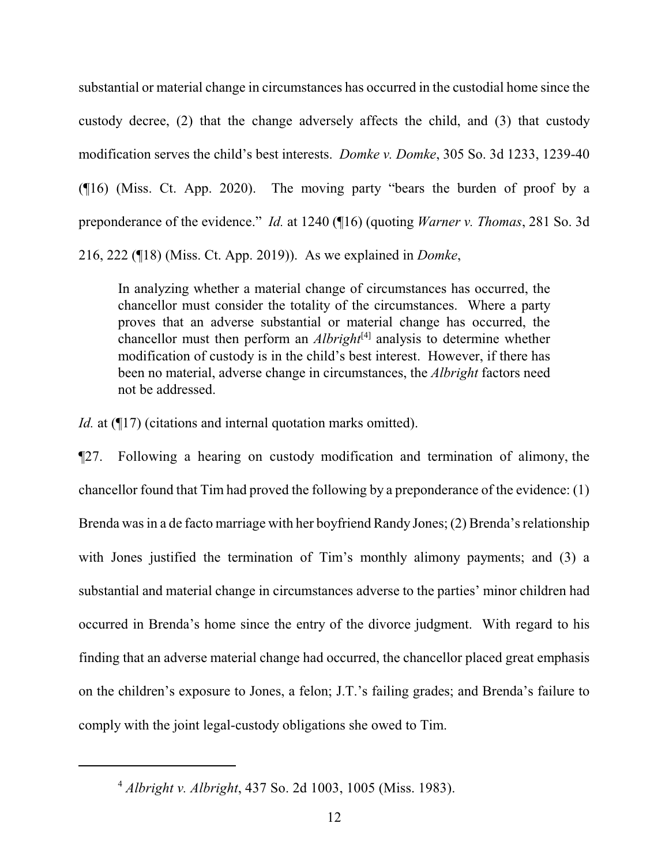substantial or material change in circumstances has occurred in the custodial home since the custody decree, (2) that the change adversely affects the child, and (3) that custody modification serves the child's best interests. *Domke v. Domke*, 305 So. 3d 1233, 1239-40 (¶16) (Miss. Ct. App. 2020). The moving party "bears the burden of proof by a preponderance of the evidence." *Id.* at 1240 (¶16) (quoting *Warner v. Thomas*, 281 So. 3d 216, 222 (¶18) (Miss. Ct. App. 2019)). As we explained in *Domke*,

In analyzing whether a material change of circumstances has occurred, the chancellor must consider the totality of the circumstances. Where a party proves that an adverse substantial or material change has occurred, the chancellor must then perform an *Albright*<sup>[4]</sup> analysis to determine whether modification of custody is in the child's best interest. However, if there has been no material, adverse change in circumstances, the *Albright* factors need not be addressed.

*Id.* at (¶17) (citations and internal quotation marks omitted).

¶27. Following a hearing on custody modification and termination of alimony, the chancellor found that Tim had proved the following by a preponderance of the evidence: (1) Brenda was in a de facto marriage with her boyfriend Randy Jones; (2) Brenda's relationship with Jones justified the termination of Tim's monthly alimony payments; and (3) a substantial and material change in circumstances adverse to the parties' minor children had occurred in Brenda's home since the entry of the divorce judgment. With regard to his finding that an adverse material change had occurred, the chancellor placed great emphasis on the children's exposure to Jones, a felon; J.T.'s failing grades; and Brenda's failure to comply with the joint legal-custody obligations she owed to Tim.

<sup>4</sup> *Albright v. Albright*, 437 So. 2d 1003, 1005 (Miss. 1983).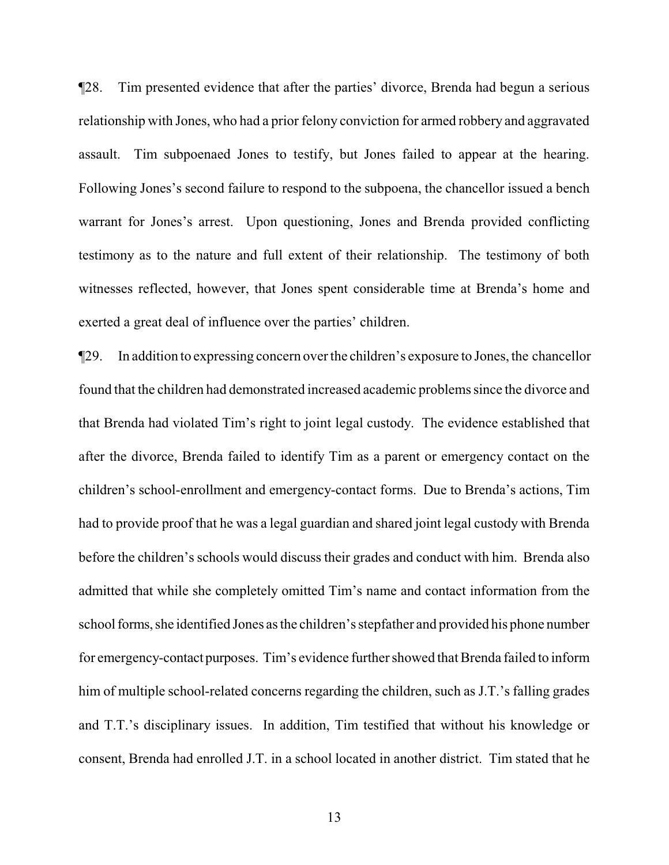¶28. Tim presented evidence that after the parties' divorce, Brenda had begun a serious relationship with Jones, who had a prior felony conviction for armed robbery and aggravated assault. Tim subpoenaed Jones to testify, but Jones failed to appear at the hearing. Following Jones's second failure to respond to the subpoena, the chancellor issued a bench warrant for Jones's arrest. Upon questioning, Jones and Brenda provided conflicting testimony as to the nature and full extent of their relationship. The testimony of both witnesses reflected, however, that Jones spent considerable time at Brenda's home and exerted a great deal of influence over the parties' children.

¶29. In addition to expressing concern over the children's exposure to Jones, the chancellor found that the children had demonstrated increased academic problems since the divorce and that Brenda had violated Tim's right to joint legal custody. The evidence established that after the divorce, Brenda failed to identify Tim as a parent or emergency contact on the children's school-enrollment and emergency-contact forms. Due to Brenda's actions, Tim had to provide proof that he was a legal guardian and shared joint legal custody with Brenda before the children's schools would discuss their grades and conduct with him. Brenda also admitted that while she completely omitted Tim's name and contact information from the school forms, she identified Jones as the children's stepfather and provided his phone number for emergency-contact purposes. Tim's evidence further showed that Brenda failed to inform him of multiple school-related concerns regarding the children, such as J.T.'s falling grades and T.T.'s disciplinary issues. In addition, Tim testified that without his knowledge or consent, Brenda had enrolled J.T. in a school located in another district. Tim stated that he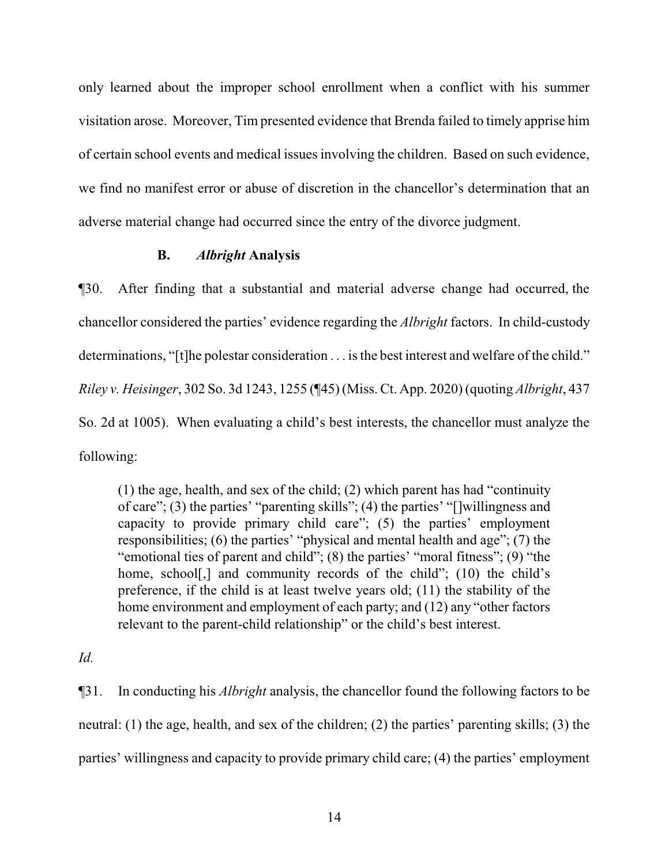only learned about the improper school enrollment when a conflict with his summer visitation arose. Moreover, Tim presented evidence that Brenda failed to timely apprise him of certain school events and medical issues involving the children. Based on such evidence, we find no manifest error or abuse of discretion in the chancellor's determination that an adverse material change had occurred since the entry of the divorce judgment.

## **B.** *Albright* **Analysis**

¶30. After finding that a substantial and material adverse change had occurred, the chancellor considered the parties' evidence regarding the *Albright* factors. In child-custody determinations, "[t]he polestar consideration . . . is the best interest and welfare of the child." *Riley v. Heisinger*, 302 So. 3d 1243, 1255 (¶45) (Miss. Ct. App. 2020) (quoting *Albright*, 437 So. 2d at 1005). When evaluating a child's best interests, the chancellor must analyze the following:

(1) the age, health, and sex of the child; (2) which parent has had "continuity of care"; (3) the parties' "parenting skills"; (4) the parties' "[]willingness and capacity to provide primary child care"; (5) the parties' employment responsibilities; (6) the parties' "physical and mental health and age"; (7) the "emotional ties of parent and child"; (8) the parties' "moral fitness"; (9) "the home, school[,] and community records of the child"; (10) the child's preference, if the child is at least twelve years old; (11) the stability of the home environment and employment of each party; and (12) any "other factors relevant to the parent-child relationship" or the child's best interest.

*Id.*

¶31. In conducting his *Albright* analysis, the chancellor found the following factors to be neutral: (1) the age, health, and sex of the children; (2) the parties' parenting skills; (3) the parties' willingness and capacity to provide primary child care; (4) the parties' employment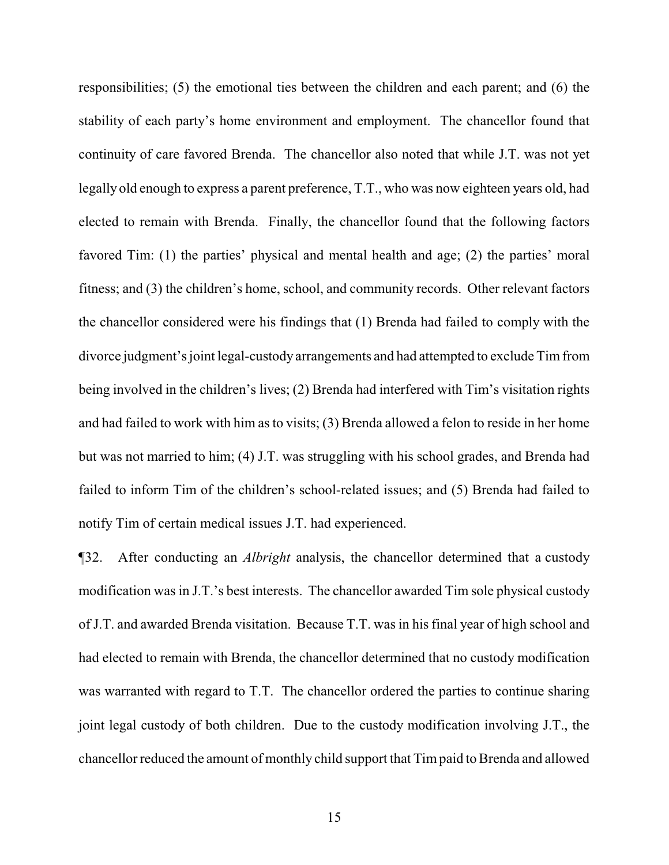responsibilities; (5) the emotional ties between the children and each parent; and (6) the stability of each party's home environment and employment. The chancellor found that continuity of care favored Brenda. The chancellor also noted that while J.T. was not yet legally old enough to express a parent preference, T.T., who was now eighteen years old, had elected to remain with Brenda. Finally, the chancellor found that the following factors favored Tim: (1) the parties' physical and mental health and age; (2) the parties' moral fitness; and (3) the children's home, school, and community records. Other relevant factors the chancellor considered were his findings that (1) Brenda had failed to comply with the divorce judgment's joint legal-custody arrangements and had attempted to exclude Timfrom being involved in the children's lives; (2) Brenda had interfered with Tim's visitation rights and had failed to work with him as to visits; (3) Brenda allowed a felon to reside in her home but was not married to him; (4) J.T. was struggling with his school grades, and Brenda had failed to inform Tim of the children's school-related issues; and (5) Brenda had failed to notify Tim of certain medical issues J.T. had experienced.

¶32. After conducting an *Albright* analysis, the chancellor determined that a custody modification was in J.T.'s best interests. The chancellor awarded Tim sole physical custody of J.T. and awarded Brenda visitation. Because T.T. was in his final year of high school and had elected to remain with Brenda, the chancellor determined that no custody modification was warranted with regard to T.T. The chancellor ordered the parties to continue sharing joint legal custody of both children. Due to the custody modification involving J.T., the chancellor reduced the amount of monthly child support that Tim paid to Brenda and allowed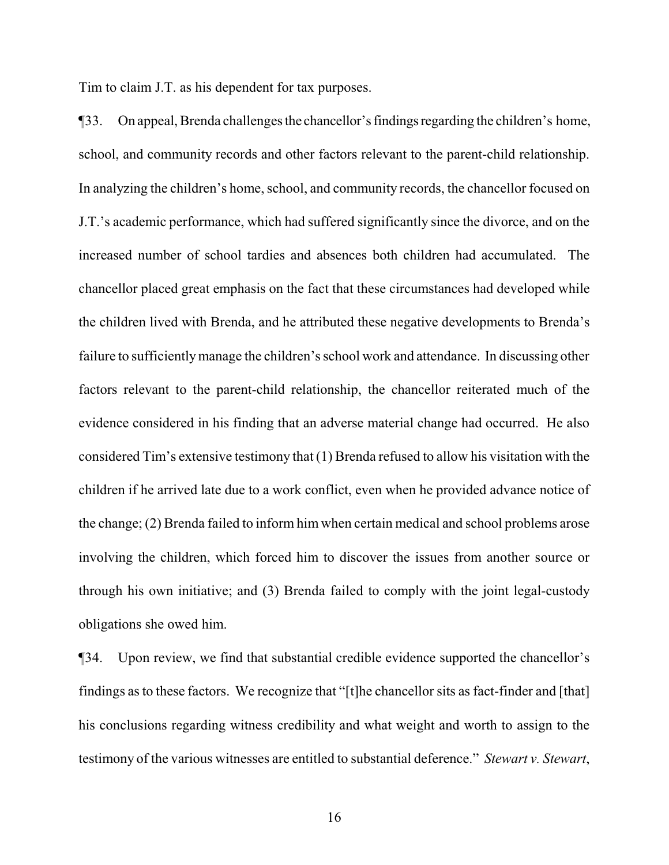Tim to claim J.T. as his dependent for tax purposes.

¶33. On appeal, Brenda challenges the chancellor'sfindingsregarding the children's home, school, and community records and other factors relevant to the parent-child relationship. In analyzing the children's home, school, and community records, the chancellor focused on J.T.'s academic performance, which had suffered significantly since the divorce, and on the increased number of school tardies and absences both children had accumulated. The chancellor placed great emphasis on the fact that these circumstances had developed while the children lived with Brenda, and he attributed these negative developments to Brenda's failure to sufficientlymanage the children's school work and attendance. In discussing other factors relevant to the parent-child relationship, the chancellor reiterated much of the evidence considered in his finding that an adverse material change had occurred. He also considered Tim's extensive testimony that (1) Brenda refused to allow his visitation with the children if he arrived late due to a work conflict, even when he provided advance notice of the change; (2) Brenda failed to inform him when certain medical and school problems arose involving the children, which forced him to discover the issues from another source or through his own initiative; and (3) Brenda failed to comply with the joint legal-custody obligations she owed him.

¶34. Upon review, we find that substantial credible evidence supported the chancellor's findings as to these factors. We recognize that "[t]he chancellor sits as fact-finder and [that] his conclusions regarding witness credibility and what weight and worth to assign to the testimony of the various witnesses are entitled to substantial deference." *Stewart v. Stewart*,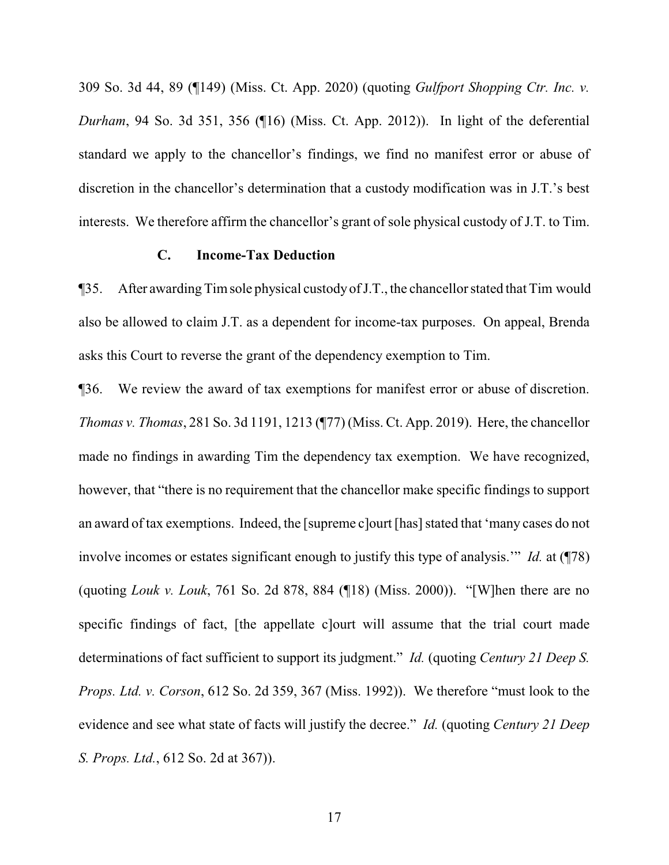309 So. 3d 44, 89 (¶149) (Miss. Ct. App. 2020) (quoting *Gulfport Shopping Ctr. Inc. v. Durham*, 94 So. 3d 351, 356 (¶16) (Miss. Ct. App. 2012)). In light of the deferential standard we apply to the chancellor's findings, we find no manifest error or abuse of discretion in the chancellor's determination that a custody modification was in J.T.'s best interests. We therefore affirm the chancellor's grant of sole physical custody of J.T. to Tim.

## **C. Income-Tax Deduction**

¶35. After awarding Timsole physical custodyofJ.T., the chancellor stated that Tim would also be allowed to claim J.T. as a dependent for income-tax purposes. On appeal, Brenda asks this Court to reverse the grant of the dependency exemption to Tim.

¶36. We review the award of tax exemptions for manifest error or abuse of discretion. *Thomas v. Thomas*, 281 So. 3d 1191, 1213 (¶77) (Miss. Ct. App. 2019). Here, the chancellor made no findings in awarding Tim the dependency tax exemption. We have recognized, however, that "there is no requirement that the chancellor make specific findings to support an award of tax exemptions. Indeed, the [supreme c]ourt [has] stated that 'many cases do not involve incomes or estates significant enough to justify this type of analysis.'" *Id.* at (¶78) (quoting *Louk v. Louk*, 761 So. 2d 878, 884 (¶18) (Miss. 2000)). "[W]hen there are no specific findings of fact, [the appellate c]ourt will assume that the trial court made determinations of fact sufficient to support its judgment." *Id.* (quoting *Century 21 Deep S. Props. Ltd. v. Corson*, 612 So. 2d 359, 367 (Miss. 1992)). We therefore "must look to the evidence and see what state of facts will justify the decree." *Id.* (quoting *Century 21 Deep S. Props. Ltd.*, 612 So. 2d at 367)).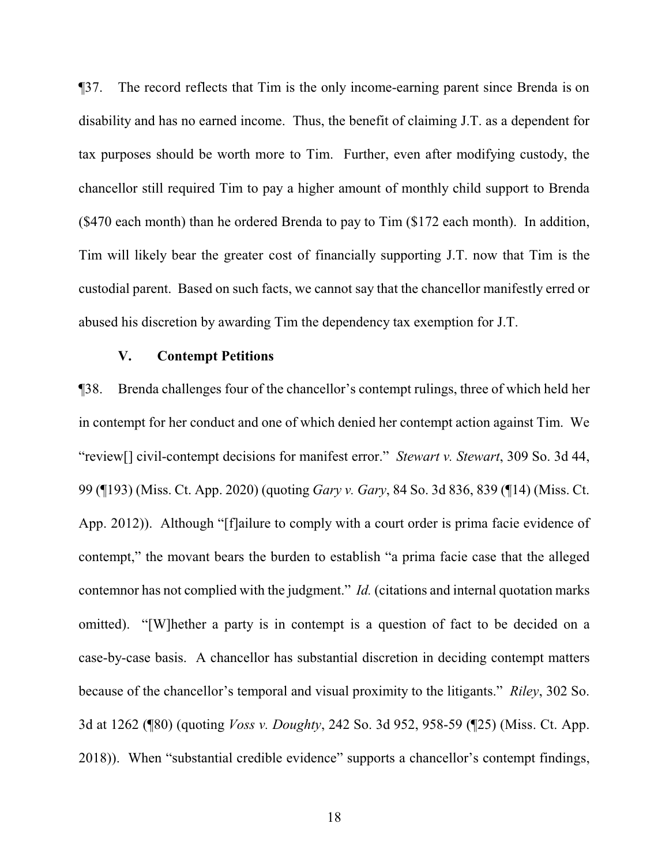¶37. The record reflects that Tim is the only income-earning parent since Brenda is on disability and has no earned income. Thus, the benefit of claiming J.T. as a dependent for tax purposes should be worth more to Tim. Further, even after modifying custody, the chancellor still required Tim to pay a higher amount of monthly child support to Brenda (\$470 each month) than he ordered Brenda to pay to Tim (\$172 each month). In addition, Tim will likely bear the greater cost of financially supporting J.T. now that Tim is the custodial parent. Based on such facts, we cannot say that the chancellor manifestly erred or abused his discretion by awarding Tim the dependency tax exemption for J.T.

## **V. Contempt Petitions**

¶38. Brenda challenges four of the chancellor's contempt rulings, three of which held her in contempt for her conduct and one of which denied her contempt action against Tim. We "review[] civil-contempt decisions for manifest error." *Stewart v. Stewart*, 309 So. 3d 44, 99 (¶193) (Miss. Ct. App. 2020) (quoting *Gary v. Gary*, 84 So. 3d 836, 839 (¶14) (Miss. Ct. App. 2012)). Although "[f]ailure to comply with a court order is prima facie evidence of contempt," the movant bears the burden to establish "a prima facie case that the alleged contemnor has not complied with the judgment." *Id.* (citations and internal quotation marks omitted). "[W]hether a party is in contempt is a question of fact to be decided on a case-by-case basis. A chancellor has substantial discretion in deciding contempt matters because of the chancellor's temporal and visual proximity to the litigants." *Riley*, 302 So. 3d at 1262 (¶80) (quoting *Voss v. Doughty*, 242 So. 3d 952, 958-59 (¶25) (Miss. Ct. App. 2018)). When "substantial credible evidence" supports a chancellor's contempt findings,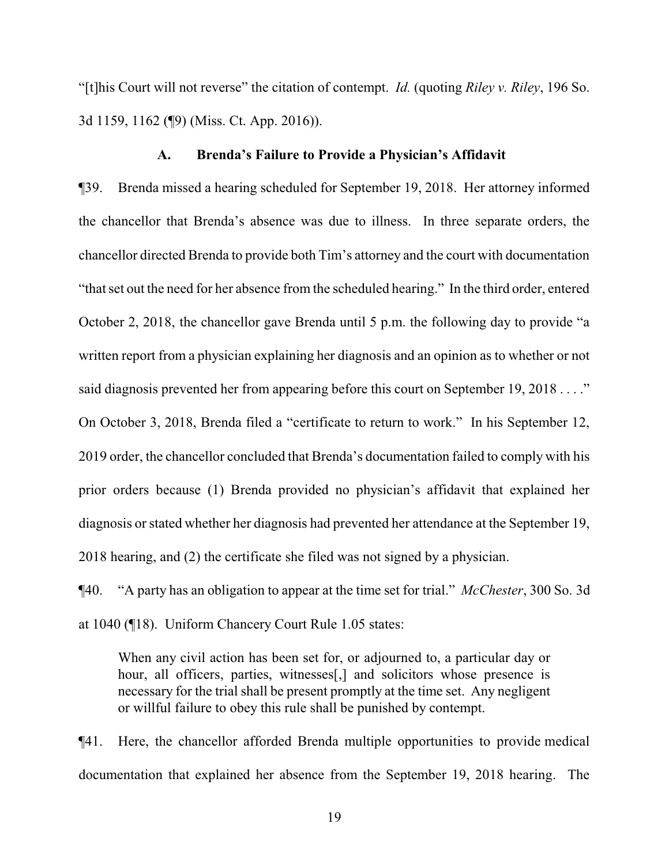"[t]his Court will not reverse" the citation of contempt. *Id.* (quoting *Riley v. Riley*, 196 So. 3d 1159, 1162 (¶9) (Miss. Ct. App. 2016)).

#### **A. Brenda's Failure to Provide a Physician's Affidavit**

¶39. Brenda missed a hearing scheduled for September 19, 2018. Her attorney informed the chancellor that Brenda's absence was due to illness. In three separate orders, the chancellor directed Brenda to provide both Tim's attorney and the court with documentation "that set out the need for her absence from the scheduled hearing." In the third order, entered October 2, 2018, the chancellor gave Brenda until 5 p.m. the following day to provide "a written report from a physician explaining her diagnosis and an opinion as to whether or not said diagnosis prevented her from appearing before this court on September 19, 2018 . . . ." On October 3, 2018, Brenda filed a "certificate to return to work." In his September 12, 2019 order, the chancellor concluded that Brenda's documentation failed to comply with his prior orders because (1) Brenda provided no physician's affidavit that explained her diagnosis or stated whether her diagnosis had prevented her attendance at the September 19, 2018 hearing, and (2) the certificate she filed was not signed by a physician.

¶40. "A party has an obligation to appear at the time set for trial." *McChester*, 300 So. 3d at 1040 (¶18). Uniform Chancery Court Rule 1.05 states:

When any civil action has been set for, or adjourned to, a particular day or hour, all officers, parties, witnesses[,] and solicitors whose presence is necessary for the trial shall be present promptly at the time set. Any negligent or willful failure to obey this rule shall be punished by contempt.

¶41. Here, the chancellor afforded Brenda multiple opportunities to provide medical documentation that explained her absence from the September 19, 2018 hearing. The

19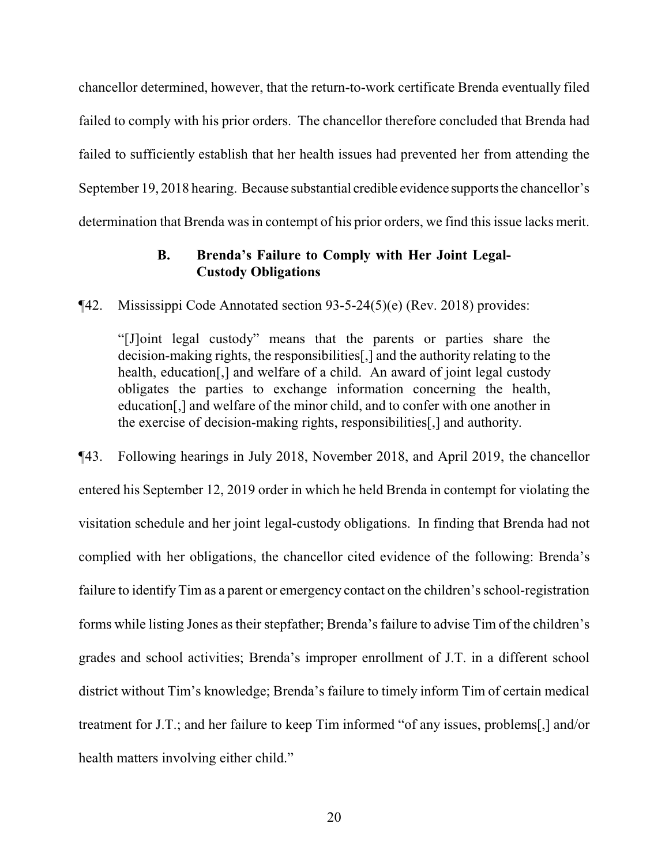chancellor determined, however, that the return-to-work certificate Brenda eventually filed failed to comply with his prior orders. The chancellor therefore concluded that Brenda had failed to sufficiently establish that her health issues had prevented her from attending the September 19, 2018 hearing. Because substantial credible evidence supports the chancellor's determination that Brenda was in contempt of his prior orders, we find this issue lacks merit.

# **B. Brenda's Failure to Comply with Her Joint Legal-Custody Obligations**

¶42. Mississippi Code Annotated section 93-5-24(5)(e) (Rev. 2018) provides:

"[J]oint legal custody" means that the parents or parties share the decision-making rights, the responsibilities[,] and the authority relating to the health, education<sup>[1]</sup>, and welfare of a child. An award of joint legal custody obligates the parties to exchange information concerning the health, education[,] and welfare of the minor child, and to confer with one another in the exercise of decision-making rights, responsibilities[,] and authority.

¶43. Following hearings in July 2018, November 2018, and April 2019, the chancellor entered his September 12, 2019 order in which he held Brenda in contempt for violating the visitation schedule and her joint legal-custody obligations. In finding that Brenda had not complied with her obligations, the chancellor cited evidence of the following: Brenda's failure to identify Tim as a parent or emergency contact on the children's school-registration forms while listing Jones as their stepfather; Brenda's failure to advise Tim of the children's grades and school activities; Brenda's improper enrollment of J.T. in a different school district without Tim's knowledge; Brenda's failure to timely inform Tim of certain medical treatment for J.T.; and her failure to keep Tim informed "of any issues, problems[,] and/or health matters involving either child."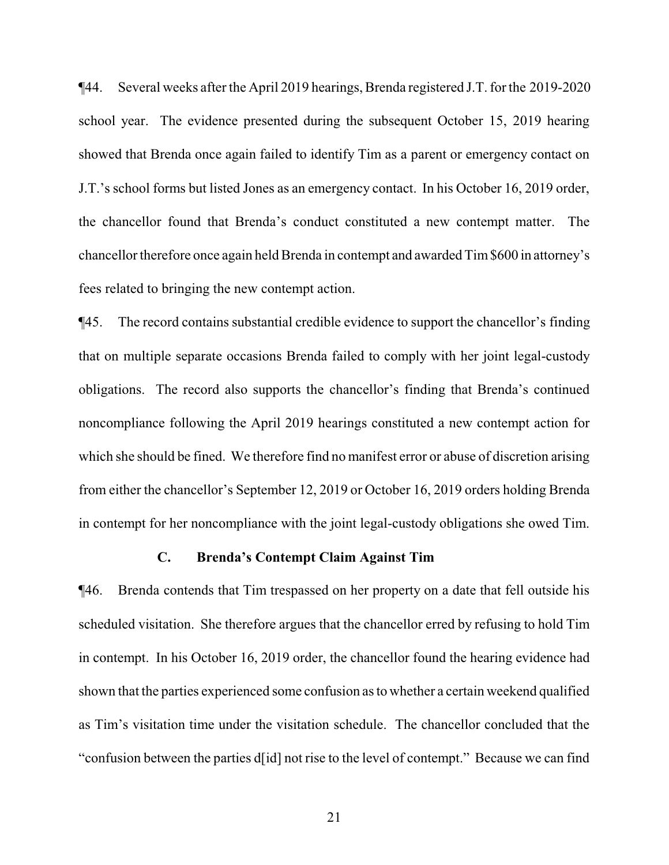¶44. Several weeks after the April 2019 hearings, Brenda registered J.T. for the 2019-2020 school year. The evidence presented during the subsequent October 15, 2019 hearing showed that Brenda once again failed to identify Tim as a parent or emergency contact on J.T.'s school forms but listed Jones as an emergency contact. In his October 16, 2019 order, the chancellor found that Brenda's conduct constituted a new contempt matter. The chancellor therefore once again held Brenda in contempt and awarded Tim\$600 in attorney's fees related to bringing the new contempt action.

¶45. The record contains substantial credible evidence to support the chancellor's finding that on multiple separate occasions Brenda failed to comply with her joint legal-custody obligations. The record also supports the chancellor's finding that Brenda's continued noncompliance following the April 2019 hearings constituted a new contempt action for which she should be fined. We therefore find no manifest error or abuse of discretion arising from either the chancellor's September 12, 2019 or October 16, 2019 orders holding Brenda in contempt for her noncompliance with the joint legal-custody obligations she owed Tim.

## **C. Brenda's Contempt Claim Against Tim**

¶46. Brenda contends that Tim trespassed on her property on a date that fell outside his scheduled visitation. She therefore argues that the chancellor erred by refusing to hold Tim in contempt. In his October 16, 2019 order, the chancellor found the hearing evidence had shown that the parties experienced some confusion as to whether a certain weekend qualified as Tim's visitation time under the visitation schedule. The chancellor concluded that the "confusion between the parties d[id] not rise to the level of contempt." Because we can find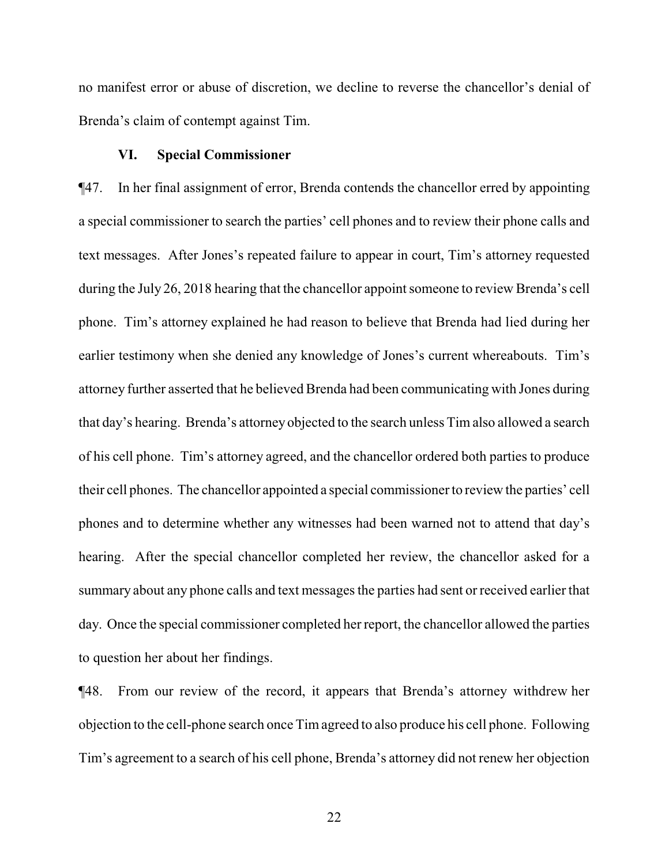no manifest error or abuse of discretion, we decline to reverse the chancellor's denial of Brenda's claim of contempt against Tim.

## **VI. Special Commissioner**

¶47. In her final assignment of error, Brenda contends the chancellor erred by appointing a special commissioner to search the parties' cell phones and to review their phone calls and text messages. After Jones's repeated failure to appear in court, Tim's attorney requested during the July 26, 2018 hearing that the chancellor appoint someone to review Brenda's cell phone. Tim's attorney explained he had reason to believe that Brenda had lied during her earlier testimony when she denied any knowledge of Jones's current whereabouts. Tim's attorney further asserted that he believed Brenda had been communicating with Jones during that day's hearing. Brenda's attorney objected to the search unless Timalso allowed a search of his cell phone. Tim's attorney agreed, and the chancellor ordered both parties to produce their cell phones. The chancellor appointed a special commissioner to review the parties' cell phones and to determine whether any witnesses had been warned not to attend that day's hearing. After the special chancellor completed her review, the chancellor asked for a summary about any phone calls and text messages the parties had sent or received earlier that day. Once the special commissioner completed her report, the chancellor allowed the parties to question her about her findings.

¶48. From our review of the record, it appears that Brenda's attorney withdrew her objection to the cell-phone search once Timagreed to also produce his cell phone. Following Tim's agreement to a search of his cell phone, Brenda's attorney did not renew her objection

22